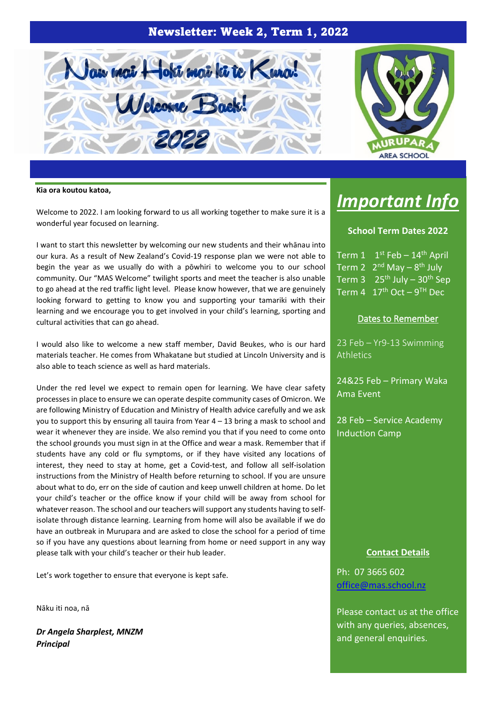## Newsletter: Week 2, Term 1, 2022





#### **Kia ora koutou katoa,**

Welcome to 2022. I am looking forward to us all working together to make sure it is a wonderful year focused on learning.

I want to start this newsletter by welcoming our new students and their whānau into our kura. As a result of New Zealand's Covid-19 response plan we were not able to begin the year as we usually do with a pōwhiri to welcome you to our school community. Our "MAS Welcome" twilight sports and meet the teacher is also unable to go ahead at the red traffic light level. Please know however, that we are genuinely looking forward to getting to know you and supporting your tamariki with their learning and we encourage you to get involved in your child's learning, sporting and cultural activities that can go ahead.

I would also like to welcome a new staff member, David Beukes, who is our hard materials teacher. He comes from Whakatane but studied at Lincoln University and is also able to teach science as well as hard materials.

Under the red level we expect to remain open for learning. We have clear safety processes in place to ensure we can operate despite community cases of Omicron. We are following Ministry of Education and Ministry of Health advice carefully and we ask you to support this by ensuring all tauira from Year 4 – 13 bring a mask to school and wear it whenever they are inside. We also remind you that if you need to come onto the school grounds you must sign in at the Office and wear a mask. Remember that if students have any cold or flu symptoms, or if they have visited any locations of interest, they need to stay at home, get a Covid-test, and follow all self-isolation instructions from the Ministry of Health before returning to school. If you are unsure about what to do, err on the side of caution and keep unwell children at home. Do let your child's teacher or the office know if your child will be away from school for whatever reason. The school and our teachers will support any students having to selfisolate through distance learning. Learning from home will also be available if we do have an outbreak in Murupara and are asked to close the school for a period of time so if you have any questions about learning from home or need support in any way please talk with your child's teacher or their hub leader.

Let's work together to ensure that everyone is kept safe.

Nāku iti noa, nā

*Dr Angela Sharplest, MNZM Principal*

# *Important Info*

#### **School Term Dates 2022**

Term 1 1 st Feb – 14th April Term 2 2<sup>nd</sup> May - 8<sup>th</sup> July Term 3  $25<sup>th</sup>$  July – 30<sup>th</sup> Sep Term 4  $17<sup>th</sup>$  Oct – 9<sup>TH</sup> Dec

#### Dates to Remember

23 Feb – Yr9-13 Swimming **Athletics** 

24&25 Feb – Primary Waka Ama Event

28 Feb – Service Academy Induction Camp

#### **Contact Details**

Ph: 07 3665 602 [office@mas.school.nz](mailto:office@mas.school.nz)

Please contact us at the office with any queries, absences, and general enquiries.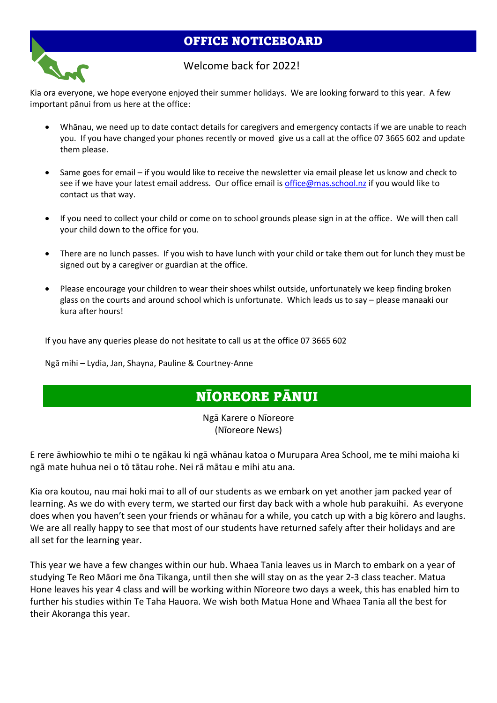## OFFICE NOTICEBOARD



### Welcome back for 2022!

Kia ora everyone, we hope everyone enjoyed their summer holidays. We are looking forward to this year. A few important pānui from us here at the office:

- Whānau, we need up to date contact details for caregivers and emergency contacts if we are unable to reach you. If you have changed your phones recently or moved give us a call at the office 07 3665 602 and update them please.
- Same goes for email if you would like to receive the newsletter via email please let us know and check to see if we have your latest email address. Our office email is [office@mas.school.nz](mailto:office@mas.school.nz) if you would like to contact us that way.
- If you need to collect your child or come on to school grounds please sign in at the office. We will then call your child down to the office for you.
- There are no lunch passes. If you wish to have lunch with your child or take them out for lunch they must be signed out by a caregiver or guardian at the office.
- Please encourage your children to wear their shoes whilst outside, unfortunately we keep finding broken glass on the courts and around school which is unfortunate. Which leads us to say – please manaaki our kura after hours!

If you have any queries please do not hesitate to call us at the office 07 3665 602

Ngā mihi – Lydia, Jan, Shayna, Pauline & Courtney-Anne

# NĪOREORE PĀNUI

Ngā Karere o Nīoreore (Nīoreore News)

E rere āwhiowhio te mihi o te ngākau ki ngā whānau katoa o Murupara Area School, me te mihi maioha ki ngā mate huhua nei o tō tātau rohe. Nei rā mātau e mihi atu ana.

Kia ora koutou, nau mai hoki mai to all of our students as we embark on yet another jam packed year of learning. As we do with every term, we started our first day back with a whole hub parakuihi. As everyone does when you haven't seen your friends or whānau for a while, you catch up with a big kōrero and laughs. We are all really happy to see that most of our students have returned safely after their holidays and are all set for the learning year.

This year we have a few changes within our hub. Whaea Tania leaves us in March to embark on a year of studying Te Reo Māori me ōna Tikanga, until then she will stay on as the year 2-3 class teacher. Matua Hone leaves his year 4 class and will be working within Nīoreore two days a week, this has enabled him to further his studies within Te Taha Hauora. We wish both Matua Hone and Whaea Tania all the best for their Akoranga this year.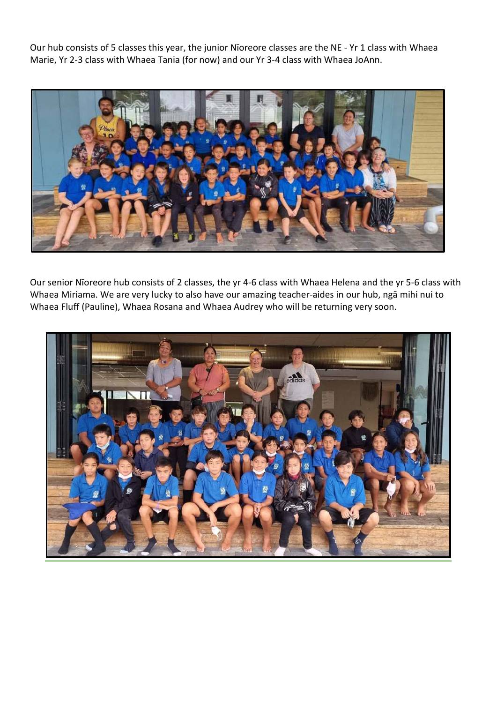Our hub consists of 5 classes this year, the junior Nīoreore classes are the NE - Yr 1 class with Whaea Marie, Yr 2-3 class with Whaea Tania (for now) and our Yr 3-4 class with Whaea JoAnn.



Our senior Nīoreore hub consists of 2 classes, the yr 4-6 class with Whaea Helena and the yr 5-6 class with Whaea Miriama. We are very lucky to also have our amazing teacher-aides in our hub, ngā mihi nui to Whaea Fluff (Pauline), Whaea Rosana and Whaea Audrey who will be returning very soon.

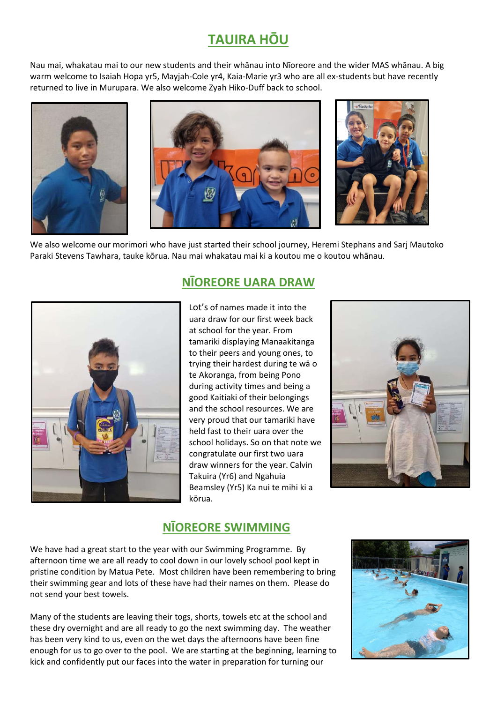# **TAUIRA HŌU**

Nau mai, whakatau mai to our new students and their whānau into Nīoreore and the wider MAS whānau. A big warm welcome to Isaiah Hopa yr5, Mayjah-Cole yr4, Kaia-Marie yr3 who are all ex-students but have recently returned to live in Murupara. We also welcome Zyah Hiko-Duff back to school.







We also welcome our morimori who have just started their school journey, Heremi Stephans and Sarj Mautoko Paraki Stevens Tawhara, tauke kōrua. Nau mai whakatau mai ki a koutou me o koutou whānau.



# **NĪOREORE UARA DRAW**

Lot's of names made it into the uara draw for our first week back at school for the year. From tamariki displaying Manaakitanga to their peers and young ones, to trying their hardest during te wā o te Akoranga, from being Pono during activity times and being a good Kaitiaki of their belongings and the school resources. We are very proud that our tamariki have held fast to their uara over the school holidays. So on that note we congratulate our first two uara draw winners for the year. Calvin Takuira (Yr6) and Ngahuia Beamsley (Yr5) Ka nui te mihi ki a kōrua.



## **NĪOREORE SWIMMING**

We have had a great start to the year with our Swimming Programme. By afternoon time we are all ready to cool down in our lovely school pool kept in pristine condition by Matua Pete. Most children have been remembering to bring their swimming gear and lots of these have had their names on them. Please do not send your best towels.

Many of the students are leaving their togs, shorts, towels etc at the school and these dry overnight and are all ready to go the next swimming day. The weather has been very kind to us, even on the wet days the afternoons have been fine enough for us to go over to the pool. We are starting at the beginning, learning to kick and confidently put our faces into the water in preparation for turning our

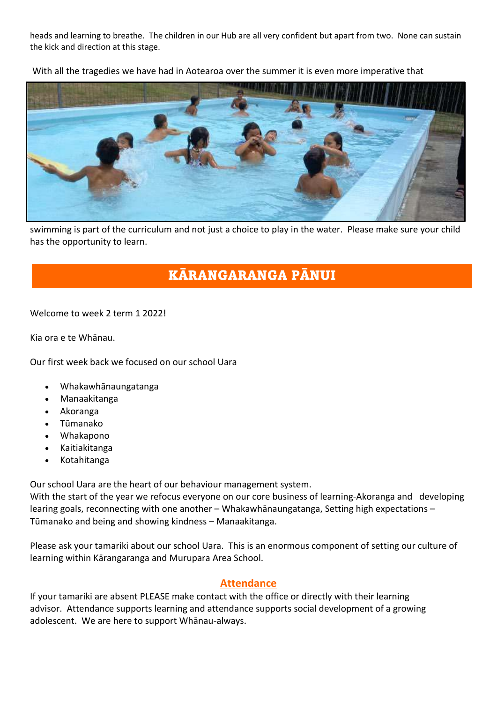heads and learning to breathe. The children in our Hub are all very confident but apart from two. None can sustain the kick and direction at this stage.

With all the tragedies we have had in Aotearoa over the summer it is even more imperative that



swimming is part of the curriculum and not just a choice to play in the water. Please make sure your child has the opportunity to learn.

# KĀRANGARANGA PĀNUI

Welcome to week 2 term 1 2022!

Kia ora e te Whānau.

Our first week back we focused on our school Uara

- Whakawhānaungatanga
- Manaakitanga
- Akoranga
- Tūmanako
- Whakapono
- Kaitiakitanga
- Kotahitanga

Our school Uara are the heart of our behaviour management system.

With the start of the year we refocus everyone on our core business of learning-Akoranga and developing learing goals, reconnecting with one another – Whakawhānaungatanga, Setting high expectations – Tūmanako and being and showing kindness – Manaakitanga.

Please ask your tamariki about our school Uara. This is an enormous component of setting our culture of learning within Kārangaranga and Murupara Area School.

### **Attendance**

If your tamariki are absent PLEASE make contact with the office or directly with their learning advisor. Attendance supports learning and attendance supports social development of a growing adolescent. We are here to support Whānau-always.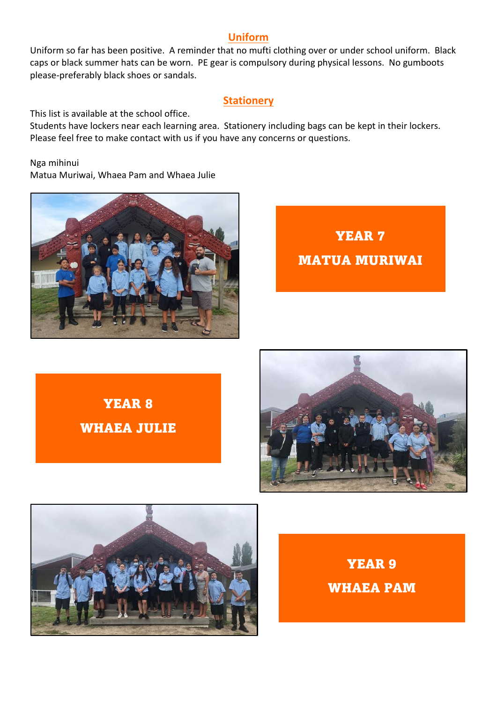### **Uniform**

Uniform so far has been positive. A reminder that no mufti clothing over or under school uniform. Black caps or black summer hats can be worn. PE gear is compulsory during physical lessons. No gumboots please-preferably black shoes or sandals.

### **Stationery**

This list is available at the school office.

Students have lockers near each learning area. Stationery including bags can be kept in their lockers. Please feel free to make contact with us if you have any concerns or questions.

Nga mihinui Matua Muriwai, Whaea Pam and Whaea Julie



YEAR 7 MATUA MURIWAI

YEAR 8 WHAEA JULIE





YEAR 9 WHAEA PAM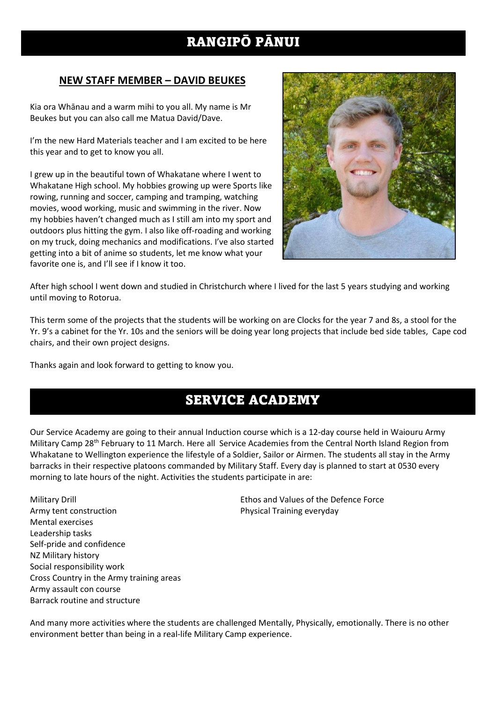# RANGIPŌ PĀNUI

## **NEW STAFF MEMBER – DAVID BEUKES**

Kia ora Whānau and a warm mihi to you all. My name is Mr Beukes but you can also call me Matua David/Dave.

I'm the new Hard Materials teacher and I am excited to be here this year and to get to know you all.

I grew up in the beautiful town of Whakatane where I went to Whakatane High school. My hobbies growing up were Sports like rowing, running and soccer, camping and tramping, watching movies, wood working, music and swimming in the river. Now my hobbies haven't changed much as I still am into my sport and outdoors plus hitting the gym. I also like off-roading and working on my truck, doing mechanics and modifications. I've also started getting into a bit of anime so students, let me know what your favorite one is, and I'll see if I know it too.



After high school I went down and studied in Christchurch where I lived for the last 5 years studying and working until moving to Rotorua.

This term some of the projects that the students will be working on are Clocks for the year 7 and 8s, a stool for the Yr. 9's a cabinet for the Yr. 10s and the seniors will be doing year long projects that include bed side tables, Cape cod chairs, and their own project designs.

Thanks again and look forward to getting to know you.

# SERVICE ACADEMY

Our Service Academy are going to their annual Induction course which is a 12-day course held in Waiouru Army Military Camp 28th February to 11 March. Here all Service Academies from the Central North Island Region from Whakatane to Wellington experience the lifestyle of a Soldier, Sailor or Airmen. The students all stay in the Army barracks in their respective platoons commanded by Military Staff. Every day is planned to start at 0530 every morning to late hours of the night. Activities the students participate in are:

Military Drill Ethos and Values of the Defence Force Army tent construction **Physical Training everyday** Mental exercises Leadership tasks Self-pride and confidence NZ Military history Social responsibility work Cross Country in the Army training areas Army assault con course Barrack routine and structure

And many more activities where the students are challenged Mentally, Physically, emotionally. There is no other environment better than being in a real-life Military Camp experience.